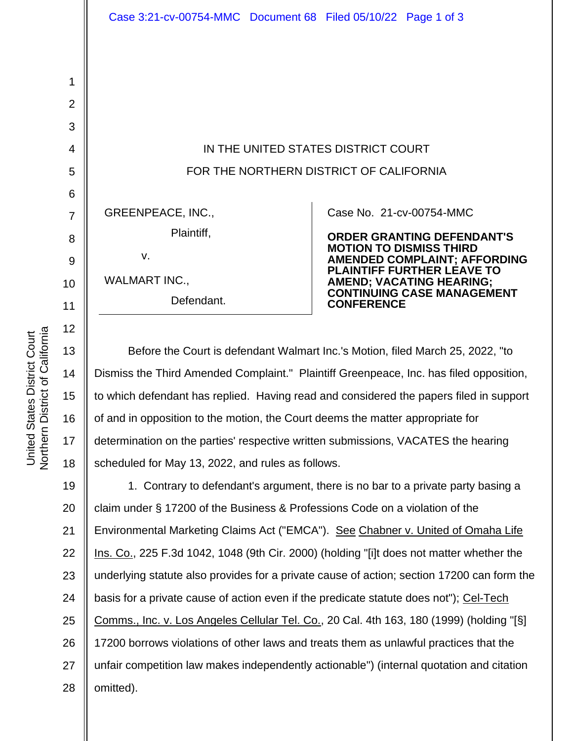IN THE UNITED STATES DISTRICT COURT FOR THE NORTHERN DISTRICT OF CALIFORNIA

GREENPEACE, INC., Plaintiff,

v.

WALMART INC., Defendant.

## Case No. [21-cv-00754-MMC](https://cand-ecf.sso.dcn/cgi-bin/DktRpt.pl?372877)

**ORDER GRANTING DEFENDANT'S MOTION TO DISMISS THIRD AMENDED COMPLAINT; AFFORDING PLAINTIFF FURTHER LEAVE TO AMEND; VACATING HEARING; CONTINUING CASE MANAGEMENT CONFERENCE**

Before the Court is defendant Walmart Inc.'s Motion, filed March 25, 2022, "to Dismiss the Third Amended Complaint." Plaintiff Greenpeace, Inc. has filed opposition, to which defendant has replied. Having read and considered the papers filed in support of and in opposition to the motion, the Court deems the matter appropriate for determination on the parties' respective written submissions, VACATES the hearing scheduled for May 13, 2022, and rules as follows.

19 20 21 22 23 24 25 26 27 28 1. Contrary to defendant's argument, there is no bar to a private party basing a claim under § 17200 of the Business & Professions Code on a violation of the Environmental Marketing Claims Act ("EMCA"). See Chabner v. United of Omaha Life Ins. Co., 225 F.3d 1042, 1048 (9th Cir. 2000) (holding "[i]t does not matter whether the underlying statute also provides for a private cause of action; section 17200 can form the basis for a private cause of action even if the predicate statute does not"); Cel-Tech Comms., Inc. v. Los Angeles Cellular Tel. Co., 20 Cal. 4th 163, 180 (1999) (holding "[§] 17200 borrows violations of other laws and treats them as unlawful practices that the unfair competition law makes independently actionable") (internal quotation and citation omitted).

1

2

3

4

5

6

7

8

9

10

11

12

13

14

15

16

17

18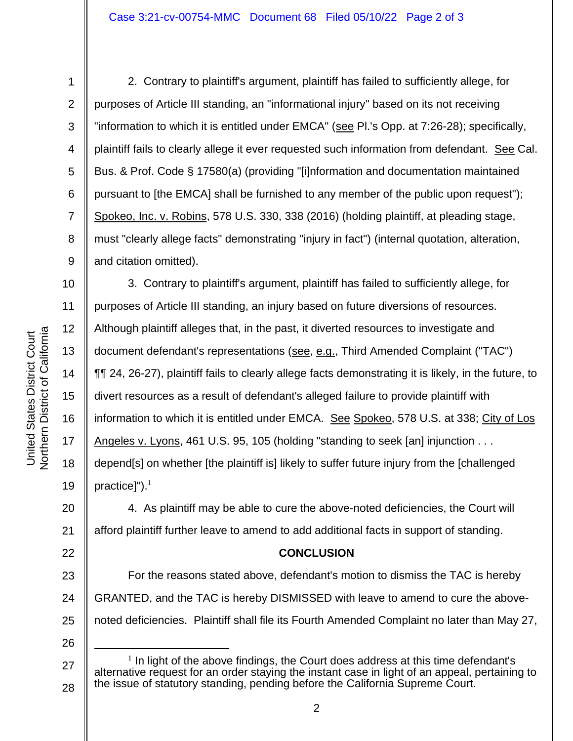1

2. Contrary to plaintiff's argument, plaintiff has failed to sufficiently allege, for purposes of Article III standing, an "informational injury" based on its not receiving "information to which it is entitled under EMCA" (see PI.'s Opp. at 7:26-28); specifically, plaintiff fails to clearly allege it ever requested such information from defendant. See Cal. Bus. & Prof. Code § 17580(a) (providing "[i]nformation and documentation maintained pursuant to [the EMCA] shall be furnished to any member of the public upon request"); Spokeo, Inc. v. Robins, 578 U.S. 330, 338 (2016) (holding plaintiff, at pleading stage, must "clearly allege facts" demonstrating "injury in fact") (internal quotation, alteration, and citation omitted).

12 13 14 15 16 17 18 19 3. Contrary to plaintiff's argument, plaintiff has failed to sufficiently allege, for purposes of Article III standing, an injury based on future diversions of resources. Although plaintiff alleges that, in the past, it diverted resources to investigate and document defendant's representations (see, e.g., Third Amended Complaint ("TAC") ¶¶ 24, 26-27), plaintiff fails to clearly allege facts demonstrating it is likely, in the future, to divert resources as a result of defendant's alleged failure to provide plaintiff with information to which it is entitled under EMCA. See Spokeo, 578 U.S. at 338; City of Los Angeles v. Lyons, 461 U.S. 95, 105 (holding "standing to seek [an] injunction . . . depend[s] on whether [the plaintiff is] likely to suffer future injury from the [challenged practice]" $)$ .<sup>1</sup>

20 21 4. As plaintiff may be able to cure the above-noted deficiencies, the Court will afford plaintiff further leave to amend to add additional facts in support of standing.

## **CONCLUSION**

23 24 25 For the reasons stated above, defendant's motion to dismiss the TAC is hereby GRANTED, and the TAC is hereby DISMISSED with leave to amend to cure the abovenoted deficiencies. Plaintiff shall file its Fourth Amended Complaint no later than May 27,

27 28  $<sup>1</sup>$  In light of the above findings, the Court does address at this time defendant's</sup> alternative request for an order staying the instant case in light of an appeal, pertaining to the issue of statutory standing, pending before the California Supreme Court.

22

26